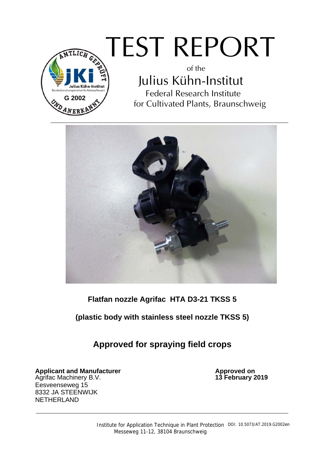

# TEST REPORT

of the Julius Kühn-Institut Federal Research Institute for Cultivated Plants, Braunschweig



## **Flatfan nozzle Agrifac HTA D3-21 TKSS 5**

### **(plastic body with stainless steel nozzle TKSS 5)**

**Approved for spraying field crops** 

**Applicant and Manufacturer and Control on Approved on Approved on Approved on Approved on Approved on Approved on Approved on Approved on Approved on Approved on Approved on Approved on Approved on Approved on Approved on** Agrifac Machinery B.V. Eesveenseweg 15 8332 JA STEENWIJK NETHERLAND